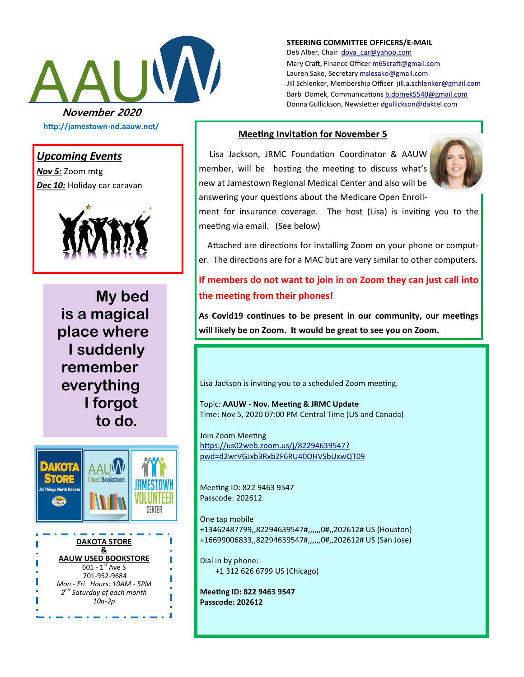

**http://jamestown-nd.aauw.net/** 

### *Upcoming Events*

*Nov 5:* Zoom mtg *Dec 10:* Holiday car caravan



**My bed is a magical place where I suddenly remember everything I forgot to do.**



**STEERING COMMITTEE OFFICERS/E-MAIL**

Deb Alber, Chair [dova\\_car@yahoo.com](mailto:dova_car@yahoo.com) Mary Craft, Finance Officer [m65craft@gmail.com](mailto:m65craft@gmail.com) Lauren Sako, Secretary [mslesako@gmail.com](mailto:mslesako@gmail.com) Jill Schlenker, Membership Officer [jill.a.schlenker@gmail.com](mailto:jill.a.schlenker@gmail.com) Barb Domek, Communications [b.domek5540@gmail.com](mailto:b.domek5540@gmail.com) Donna Gullickson, Newsletter [dgullickson@daktel.com](mailto:dgullickson@daktel.com)

#### **Meeting Invitation for November 5**

 Lisa Jackson, JRMC Foundation Coordinator & AAUW member, will be hosting the meeting to discuss what's new at Jamestown Regional Medical Center and also will be answering your questions about the Medicare Open Enroll-



ment for insurance coverage. The host (Lisa) is inviting you to the meeting via email. (See below)

 Attached are directions for installing Zoom on your phone or computer. The directions are for a MAC but are very similar to other computers.

## **If members do not want to join in on Zoom they can just call into the meeting from their phones!**

**As Covid19 continues to be present in our community, our meetings will likely be on Zoom. It would be great to see you on Zoom.**

Lisa Jackson is inviting you to a scheduled Zoom meeting.

Topic: **AAUW - Nov. Meeting & JRMC Update** Time: Nov 5, 2020 07:00 PM Central Time (US and Canada)

Join Zoom Meeting [https://us02web.zoom.us/j/82294639547?](https://us02web.zoom.us/j/82294639547?pwd=d2wrVGJxb3Rxb2F6RU40OHVSbUxwQT09) [pwd=d2wrVGJxb3Rxb2F6RU40OHVSbUxwQT09](https://us02web.zoom.us/j/82294639547?pwd=d2wrVGJxb3Rxb2F6RU40OHVSbUxwQT09)

Meeting ID: 822 9463 9547 Passcode: 202612

One tap mobile +13462487799,,82294639547#,,,,,,0#,,202612# US (Houston) +16699006833,,82294639547#,,,,,,0#,,202612# US (San Jose)

Dial in by phone: +1 312 626 6799 US (Chicago)

**Meeting ID: 822 9463 9547 Passcode: 202612**